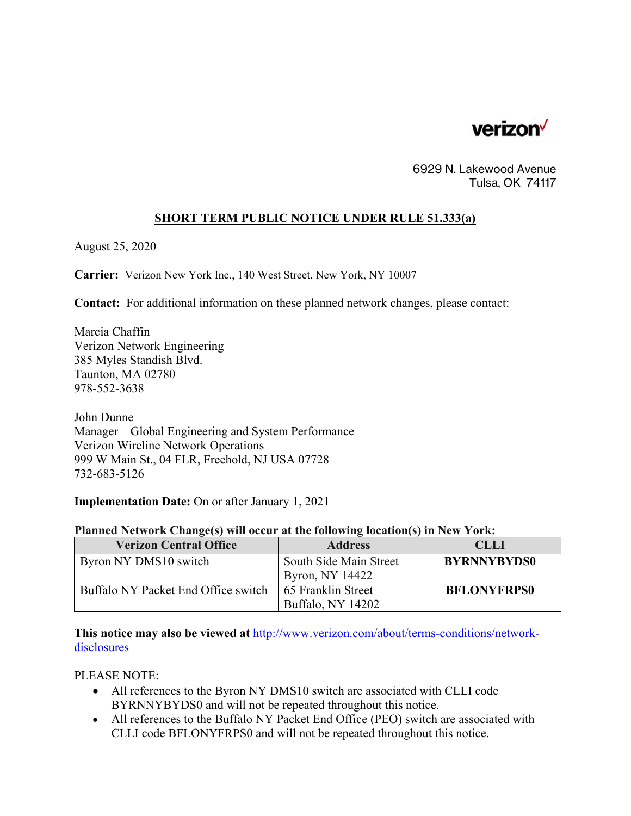

6929 N. Lakewood Avenue Tulsa, OK 74117

## **SHORT TERM PUBLIC NOTICE UNDER RULE 51.333(a)**

August 25, 2020

**Carrier:** Verizon New York Inc., 140 West Street, New York, NY 10007

**Contact:** For additional information on these planned network changes, please contact:

Marcia Chaffin Verizon Network Engineering 385 Myles Standish Blvd. Taunton, MA 02780 978-552-3638

John Dunne Manager – Global Engineering and System Performance Verizon Wireline Network Operations 999 W Main St., 04 FLR, Freehold, NJ USA 07728 732-683-5126

**Implementation Date:** On or after January 1, 2021

## **Planned Network Change(s) will occur at the following location(s) in New York:**

| <b>Verizon Central Office</b>       | <b>Address</b>                            | <b>CLLI</b>        |
|-------------------------------------|-------------------------------------------|--------------------|
| Byron NY DMS10 switch               | South Side Main Street<br>Byron, NY 14422 | <b>BYRNNYBYDS0</b> |
| Buffalo NY Packet End Office switch | 65 Franklin Street<br>Buffalo, NY 14202   | <b>BFLONYFRPS0</b> |

**This notice may also be viewed at** http://www.verizon.com/about/terms-conditions/networkdisclosures

PLEASE NOTE:

- All references to the Byron NY DMS10 switch are associated with CLLI code BYRNNYBYDS0 and will not be repeated throughout this notice.
- All references to the Buffalo NY Packet End Office (PEO) switch are associated with CLLI code BFLONYFRPS0 and will not be repeated throughout this notice.